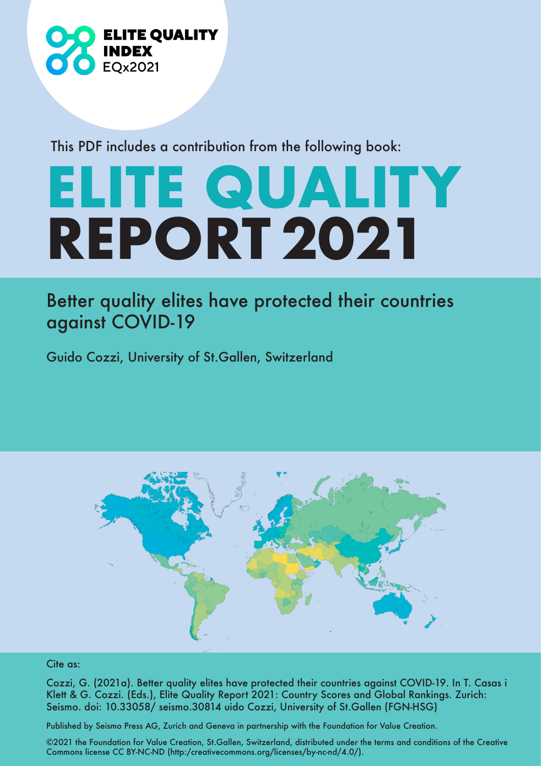

This PDF includes a contribution from the following book:

## **ELITE QUALITY REPORT 2021**

## Better quality elites have protected their countries against COVID-19

Guido Cozzi, University of St.Gallen, Switzerland



## Cite as:

Cozzi, G. (2021a). Better quality elites have protected their countries against COVID-19. In T. Casas i Klett & G. Cozzi. (Eds.), Elite Quality Report 2021: Country Scores and Global Rankings. Zurich: Seismo. doi: 10.33058/ seismo.30814 uido Cozzi, University of St.Gallen (FGN-HSG)

Published by Seismo Press AG, Zurich and Geneva in partnership with the Foundation for Value Creation.

©2021 the Foundation for Value Creation, St.Gallen, Switzerland, distributed under the terms and conditions of the Creative Commons license CC BY-NC-ND (http:/creativecommons.org/licenses/by-nc-nd/4.0/).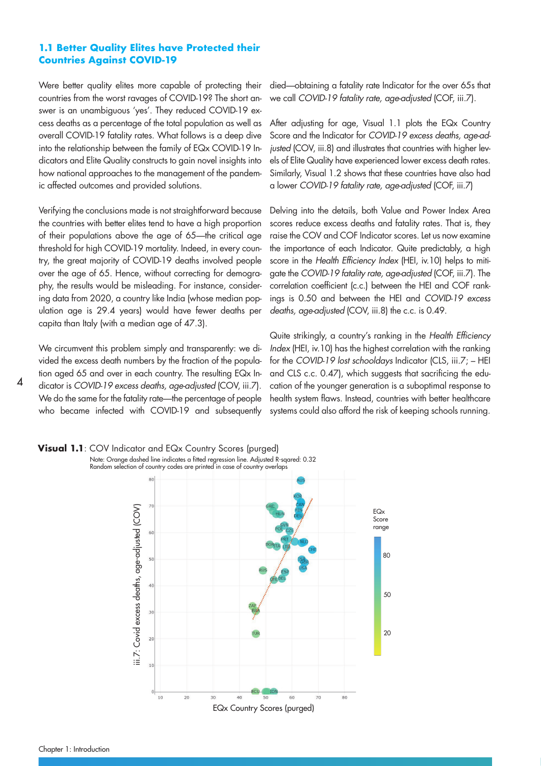## **1.1 Better Quality Elites have Protected their Countries Against COVID-19**

Were better quality elites more capable of protecting their countries from the worst ravages of COVID-19? The short answer is an unambiguous 'yes'. They reduced COVID-19 excess deaths as a percentage of the total population as well as overall COVID-19 fatality rates. What follows is a deep dive into the relationship between the family of EQx COVID-19 Indicators and Elite Quality constructs to gain novel insights into how national approaches to the management of the pandemic affected outcomes and provided solutions.

Verifying the conclusions made is not straightforward because the countries with better elites tend to have a high proportion of their populations above the age of 65—the critical age threshold for high COVID-19 mortality. Indeed, in every country, the great majority of COVID-19 deaths involved people over the age of 65. Hence, without correcting for demography, the results would be misleading. For instance, considering data from 2020, a country like India (whose median population age is 29.4 years) would have fewer deaths per capita than Italy (with a median age of 47.3).

We circumvent this problem simply and transparently: we divided the excess death numbers by the fraction of the population aged 65 and over in each country. The resulting EQx Indicator is COVID-19 excess deaths, age-adjusted (COV, iii.7). We do the same for the fatality rate—the percentage of people who became infected with COVID-19 and subsequently

died—obtaining a fatality rate Indicator for the over 65s that we call COVID-19 fatality rate, age-adjusted (COF, iii.7).

After adjusting for age, Visual 1.1 plots the EQx Country Score and the Indicator for COVID-19 excess deaths, age-adjusted (COV, iii.8) and illustrates that countries with higher levels of Elite Quality have experienced lower excess death rates. Similarly, Visual 1.2 shows that these countries have also had a lower COVID-19 fatality rate, age-adjusted (COF, iii.7)

Delving into the details, both Value and Power Index Area scores reduce excess deaths and fatality rates. That is, they raise the COV and COF Indicator scores. Let us now examine the importance of each Indicator. Quite predictably, a high score in the Health Efficiency Index (HEI, iv.10) helps to mitigate the COVID-19 fatality rate, age-adjusted (COF, iii.7). The correlation coefficient (c.c.) between the HEI and COF rankings is 0.50 and between the HEI and COVID-19 excess deaths, age-adjusted (COV, iii.8) the c.c. is 0.49.

Quite strikingly, a country's ranking in the Health Efficiency Index (HEI, iv.10) has the highest correlation with the ranking for the COVID-19 lost schooldays Indicator (CLS, iii.7; – HEI and CLS c.c. 0.47), which suggests that sacrificing the education of the younger generation is a suboptimal response to health system flaws. Instead, countries with better healthcare systems could also afford the risk of keeping schools running.